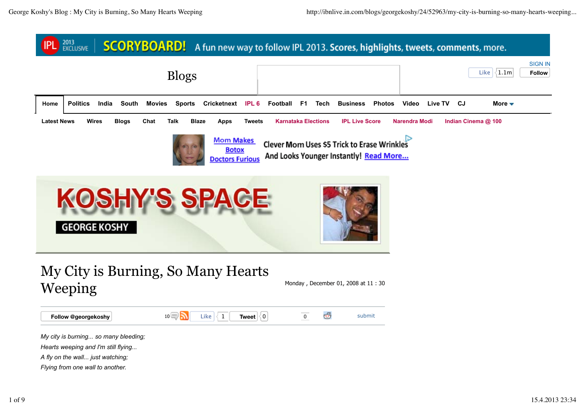

# My City is Burning, So Many Hearts Weeping

Monday , December 01, 2008 at 11 : 30

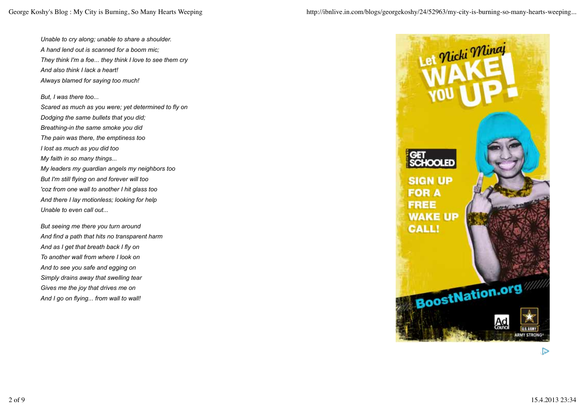*Unable to cry along; unable to share a shoulder. A hand lend out is scanned for a boom mic; They think I'm a foe... they think I love to see them cry And also think I lack a heart! Always blamed for saying too much!*

*But, I was there too... Scared as much as you were; yet determined to fly on Dodging the same bullets that you did; Breathing-in the same smoke you did The pain was there, the emptiness too I lost as much as you did too My faith in so many things... My leaders my guardian angels my neighbors too But I'm still flying on and forever will too 'coz from one wall to another I hit glass too And there I lay motionless; looking for help Unable to even call out...*

*But seeing me there you turn around And find a path that hits no transparent harm And as I get that breath back I fly on To another wall from where I look on And to see you safe and egging on Simply drains away that swelling tear Gives me the joy that drives me on And I go on flying... from wall to wall!*

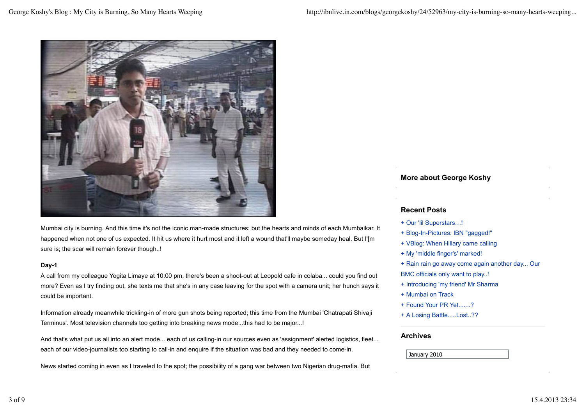

Mumbai city is burning. And this time it's not the iconic man-made structures; but the hearts and minds of each Mumbaikar. It happened when not one of us expected. It hit us where it hurt most and it left a wound that'll maybe someday heal. But I'[m sure is; the scar will remain forever though..!

#### **Day-1**

A call from my colleague Yogita Limaye at 10:00 pm, there's been a shoot-out at Leopold cafe in colaba... could you find out more? Even as I try finding out, she texts me that she's in any case leaving for the spot with a camera unit; her hunch says it could be important.

Information already meanwhile trickling-in of more gun shots being reported; this time from the Mumbai 'Chatrapati Shivaji Terminus'. Most television channels too getting into breaking news mode...this had to be major...!

And that's what put us all into an alert mode... each of us calling-in our sources even as 'assignment' alerted logistics, fleet... each of our video-journalists too starting to call-in and enquire if the situation was bad and they needed to come-in.

News started coming in even as I traveled to the spot; the possibility of a gang war between two Nigerian drug-mafia. But

## **More about George Koshy**

## **Recent Posts**

- + Our 'lil Superstars…!
- + Blog-In-Pictures: IBN "gagged!"
- + VBlog: When Hillary came calling
- + My 'middle finger's' marked!
- + Rain rain go away come again another day... Our
- BMC officials only want to play..!
- + Introducing 'my friend' Mr Sharma
- + Mumbai on Track
- + Found Your PR Yet.......?
- + A Losing Battle.....Lost..??

## **Archives**

January 2010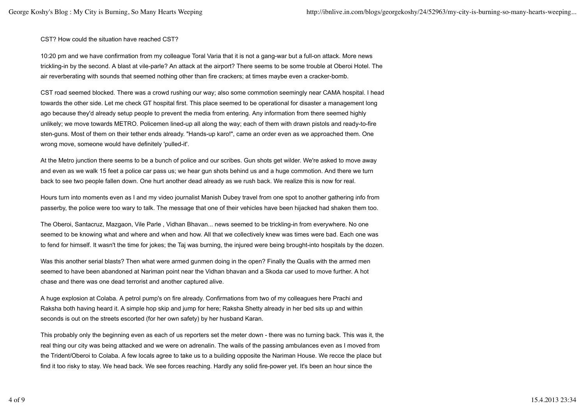CST? How could the situation have reached CST?

10:20 pm and we have confirmation from my colleague Toral Varia that it is not a gang-war but a full-on attack. More news trickling-in by the second. A blast at vile-parle? An attack at the airport? There seems to be some trouble at Oberoi Hotel. The air reverberating with sounds that seemed nothing other than fire crackers; at times maybe even a cracker-bomb.

CST road seemed blocked. There was a crowd rushing our way; also some commotion seemingly near CAMA hospital. I head towards the other side. Let me check GT hospital first. This place seemed to be operational for disaster a management long ago because they'd already setup people to prevent the media from entering. Any information from there seemed highly unlikely; we move towards METRO. Policemen lined-up all along the way; each of them with drawn pistols and ready-to-fire sten-guns. Most of them on their tether ends already. "Hands-up karo!", came an order even as we approached them. One wrong move, someone would have definitely 'pulled-it'.

At the Metro junction there seems to be a bunch of police and our scribes. Gun shots get wilder. We're asked to move away and even as we walk 15 feet a police car pass us; we hear gun shots behind us and a huge commotion. And there we turn back to see two people fallen down. One hurt another dead already as we rush back. We realize this is now for real.

Hours turn into moments even as I and my video journalist Manish Dubey travel from one spot to another gathering info from passerby, the police were too wary to talk. The message that one of their vehicles have been hijacked had shaken them too.

The Oberoi, Santacruz, Mazgaon, Vile Parle , Vidhan Bhavan... news seemed to be trickling-in from everywhere. No one seemed to be knowing what and where and when and how. All that we collectively knew was times were bad. Each one was to fend for himself. It wasn't the time for jokes; the Taj was burning, the injured were being brought-into hospitals by the dozen.

Was this another serial blasts? Then what were armed gunmen doing in the open? Finally the Qualis with the armed men seemed to have been abandoned at Nariman point near the Vidhan bhavan and a Skoda car used to move further. A hot chase and there was one dead terrorist and another captured alive.

A huge explosion at Colaba. A petrol pump's on fire already. Confirmations from two of my colleagues here Prachi and Raksha both having heard it. A simple hop skip and jump for here; Raksha Shetty already in her bed sits up and within seconds is out on the streets escorted (for her own safety) by her husband Karan.

This probably only the beginning even as each of us reporters set the meter down - there was no turning back. This was it, the real thing our city was being attacked and we were on adrenalin. The wails of the passing ambulances even as I moved from the Trident/Oberoi to Colaba. A few locals agree to take us to a building opposite the Nariman House. We recce the place but find it too risky to stay. We head back. We see forces reaching. Hardly any solid fire-power yet. It's been an hour since the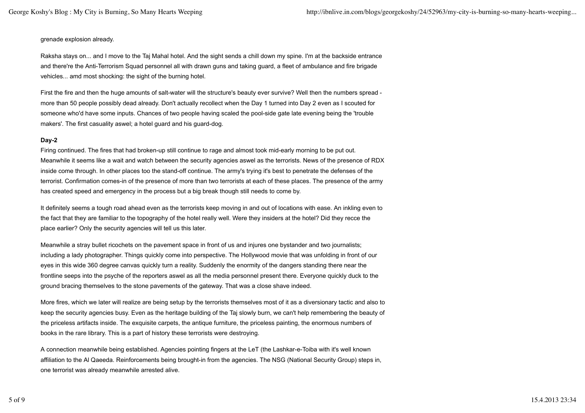## grenade explosion already.

Raksha stays on... and I move to the Taj Mahal hotel. And the sight sends a chill down my spine. I'm at the backside entrance and there're the Anti-Terrorism Squad personnel all with drawn guns and taking guard, a fleet of ambulance and fire brigade vehicles... amd most shocking: the sight of the burning hotel.

First the fire and then the huge amounts of salt-water will the structure's beauty ever survive? Well then the numbers spread more than 50 people possibly dead already. Don't actually recollect when the Day 1 turned into Day 2 even as I scouted for someone who'd have some inputs. Chances of two people having scaled the pool-side gate late evening being the 'trouble makers'. The first casuality aswel; a hotel guard and his guard-dog.

## **Day-2**

Firing continued. The fires that had broken-up still continue to rage and almost took mid-early morning to be put out. Meanwhile it seems like a wait and watch between the security agencies aswel as the terrorists. News of the presence of RDX inside come through. In other places too the stand-off continue. The army's trying it's best to penetrate the defenses of the terrorist. Confirmation comes-in of the presence of more than two terrorists at each of these places. The presence of the army has created speed and emergency in the process but a big break though still needs to come by.

It definitely seems a tough road ahead even as the terrorists keep moving in and out of locations with ease. An inkling even to the fact that they are familiar to the topography of the hotel really well. Were they insiders at the hotel? Did they recce the place earlier? Only the security agencies will tell us this later.

Meanwhile a stray bullet ricochets on the pavement space in front of us and injures one bystander and two journalists; including a lady photographer. Things quickly come into perspective. The Hollywood movie that was unfolding in front of our eyes in this wide 360 degree canvas quickly turn a reality. Suddenly the enormity of the dangers standing there near the frontline seeps into the psyche of the reporters aswel as all the media personnel present there. Everyone quickly duck to the ground bracing themselves to the stone pavements of the gateway. That was a close shave indeed.

More fires, which we later will realize are being setup by the terrorists themselves most of it as a diversionary tactic and also to keep the security agencies busy. Even as the heritage building of the Taj slowly burn, we can't help remembering the beauty of the priceless artifacts inside. The exquisite carpets, the antique furniture, the priceless painting, the enormous numbers of books in the rare library. This is a part of history these terrorists were destroying.

A connection meanwhile being established. Agencies pointing fingers at the LeT (the Lashkar-e-Toiba with it's well known affiliation to the Al Qaeeda. Reinforcements being brought-in from the agencies. The NSG (National Security Group) steps in, one terrorist was already meanwhile arrested alive.